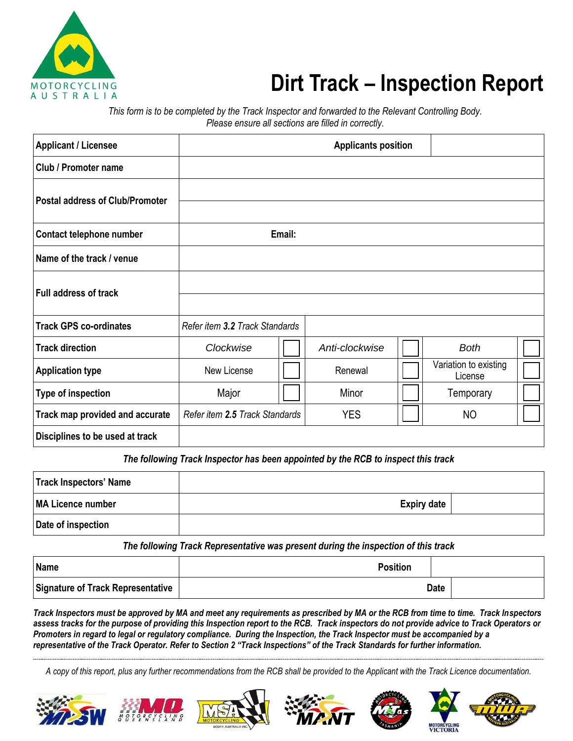

## **Dirt Track – Inspection Report**

*This form is to be completed by the Track Inspector and forwarded to the Relevant Controlling Body. Please ensure all sections are filled in correctly.*

| <b>Applicant / Licensee</b>            |                                |        | <b>Applicants position</b> |                                  |  |
|----------------------------------------|--------------------------------|--------|----------------------------|----------------------------------|--|
| <b>Club / Promoter name</b>            |                                |        |                            |                                  |  |
| <b>Postal address of Club/Promoter</b> |                                |        |                            |                                  |  |
| Contact telephone number               |                                | Email: |                            |                                  |  |
| Name of the track / venue              |                                |        |                            |                                  |  |
| <b>Full address of track</b>           |                                |        |                            |                                  |  |
| <b>Track GPS co-ordinates</b>          | Refer item 3.2 Track Standards |        |                            |                                  |  |
| <b>Track direction</b>                 | Clockwise                      |        | Anti-clockwise             | <b>Both</b>                      |  |
| <b>Application type</b>                | New License                    |        | Renewal                    | Variation to existing<br>License |  |
| Type of inspection                     | Major                          |        | Minor                      | Temporary                        |  |
| Track map provided and accurate        | Refer item 2.5 Track Standards |        | <b>YES</b>                 | <b>NO</b>                        |  |
| Disciplines to be used at track        |                                |        |                            |                                  |  |

The following Track Inspector has been appointed by the RCB to inspect this track

| <b>Track Inspectors' Name</b> |                    |  |
|-------------------------------|--------------------|--|
| MA Licence number             | <b>Expiry date</b> |  |
| Date of inspection            |                    |  |

*The following Track Representative was present during the inspection of this track*

| Name                                     | <b>Position</b> |             |
|------------------------------------------|-----------------|-------------|
| <b>Signature of Track Representative</b> |                 | <b>Date</b> |

*Track Inspectors must be approved by MA and meet any requirements as prescribed by MA or the RCB from time to time. Track Inspectors assess tracks for the purpose of providing this Inspection report to the RCB. Track inspectors do not provide advice to Track Operators or Promoters in regard to legal or regulatory compliance. During the Inspection, the Track Inspector must be accompanied by a representative of the Track Operator. Refer to Section 2 "Track Inspections" of the Track Standards for further information.*

*A copy of this report, plus any further recommendations from the RCB shall be provided to the Applicant with the Track Licence documentation.*











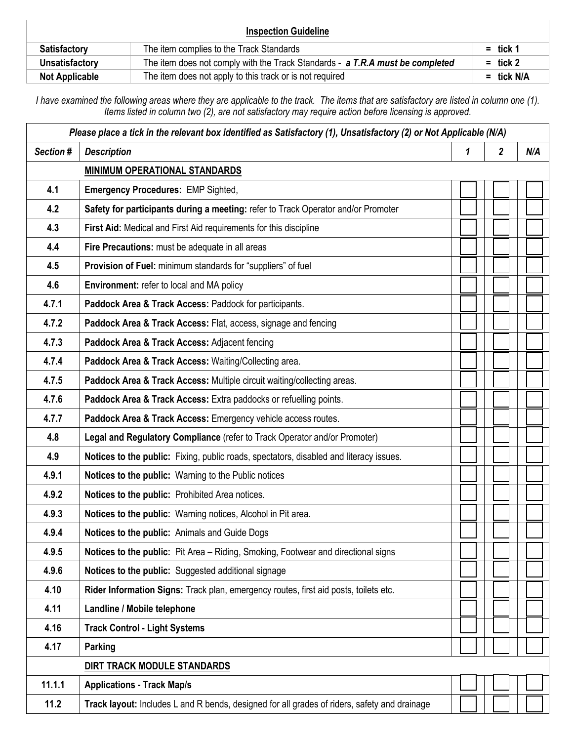|                       | <b>Inspection Guideline</b>                                                   |            |
|-----------------------|-------------------------------------------------------------------------------|------------|
| <b>Satisfactory</b>   | The item complies to the Track Standards                                      | $=$ tick 1 |
| Unsatisfactory        | The item does not comply with the Track Standards - a T.R.A must be completed | $=$ tick 2 |
| <b>Not Applicable</b> | The item does not apply to this track or is not required                      | = tick N/A |

*I have examined the following areas where they are applicable to the track. The items that are satisfactory are listed in column one (1). Items listed in column two (2), are not satisfactory may require action before licensing is approved.*

| Please place a tick in the relevant box identified as Satisfactory (1), Unsatisfactory (2) or Not Applicable (N/A) |                                                                                              |   |                         |     |
|--------------------------------------------------------------------------------------------------------------------|----------------------------------------------------------------------------------------------|---|-------------------------|-----|
| Section #                                                                                                          | <b>Description</b>                                                                           | 1 | $\overline{\mathbf{2}}$ | N/A |
|                                                                                                                    | <b>MINIMUM OPERATIONAL STANDARDS</b>                                                         |   |                         |     |
| 4.1                                                                                                                | <b>Emergency Procedures: EMP Sighted,</b>                                                    |   |                         |     |
| 4.2                                                                                                                | Safety for participants during a meeting: refer to Track Operator and/or Promoter            |   |                         |     |
| 4.3                                                                                                                | First Aid: Medical and First Aid requirements for this discipline                            |   |                         |     |
| 4.4                                                                                                                | Fire Precautions: must be adequate in all areas                                              |   |                         |     |
| 4.5                                                                                                                | Provision of Fuel: minimum standards for "suppliers" of fuel                                 |   |                         |     |
| 4.6                                                                                                                | Environment: refer to local and MA policy                                                    |   |                         |     |
| 4.7.1                                                                                                              | Paddock Area & Track Access: Paddock for participants.                                       |   |                         |     |
| 4.7.2                                                                                                              | Paddock Area & Track Access: Flat, access, signage and fencing                               |   |                         |     |
| 4.7.3                                                                                                              | Paddock Area & Track Access: Adjacent fencing                                                |   |                         |     |
| 4.7.4                                                                                                              | Paddock Area & Track Access: Waiting/Collecting area.                                        |   |                         |     |
| 4.7.5                                                                                                              | Paddock Area & Track Access: Multiple circuit waiting/collecting areas.                      |   |                         |     |
| 4.7.6                                                                                                              | Paddock Area & Track Access: Extra paddocks or refuelling points.                            |   |                         |     |
| 4.7.7                                                                                                              | Paddock Area & Track Access: Emergency vehicle access routes.                                |   |                         |     |
| 4.8                                                                                                                | Legal and Regulatory Compliance (refer to Track Operator and/or Promoter)                    |   |                         |     |
| 4.9                                                                                                                | Notices to the public: Fixing, public roads, spectators, disabled and literacy issues.       |   |                         |     |
| 4.9.1                                                                                                              | Notices to the public: Warning to the Public notices                                         |   |                         |     |
| 4.9.2                                                                                                              | Notices to the public: Prohibited Area notices.                                              |   |                         |     |
| 4.9.3                                                                                                              | Notices to the public: Warning notices, Alcohol in Pit area.                                 |   |                         |     |
| 4.9.4                                                                                                              | Notices to the public: Animals and Guide Dogs                                                |   |                         |     |
| 4.9.5                                                                                                              | Notices to the public: Pit Area - Riding, Smoking, Footwear and directional signs            |   |                         |     |
| 4.9.6                                                                                                              | Notices to the public: Suggested additional signage                                          |   |                         |     |
| 4.10                                                                                                               | Rider Information Signs: Track plan, emergency routes, first aid posts, toilets etc.         |   |                         |     |
| 4.11                                                                                                               | Landline / Mobile telephone                                                                  |   |                         |     |
| 4.16                                                                                                               | <b>Track Control - Light Systems</b>                                                         |   |                         |     |
| 4.17                                                                                                               | Parking                                                                                      |   |                         |     |
|                                                                                                                    | DIRT TRACK MODULE STANDARDS                                                                  |   |                         |     |
| 11.1.1                                                                                                             | <b>Applications - Track Map/s</b>                                                            |   |                         |     |
| 11.2                                                                                                               | Track layout: Includes L and R bends, designed for all grades of riders, safety and drainage |   |                         |     |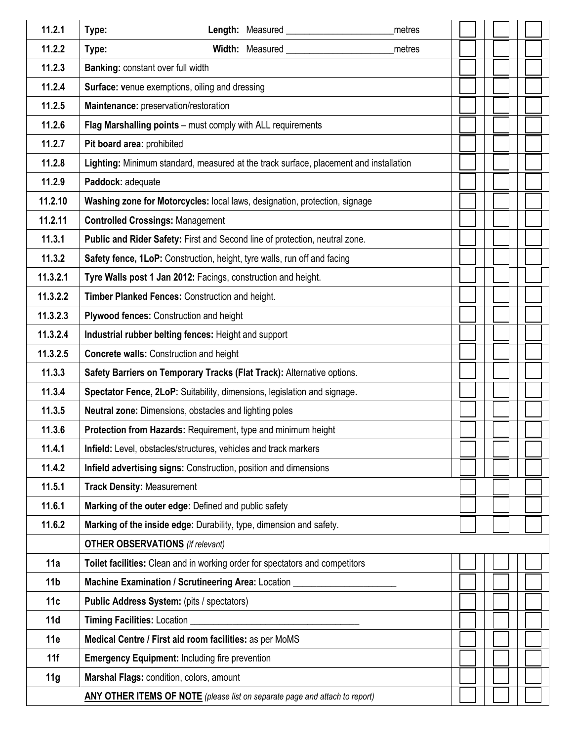| 11.2.1          | Length: Measured<br>Type:<br>metres                                                   |  |  |  |
|-----------------|---------------------------------------------------------------------------------------|--|--|--|
| 11.2.2          | Width: Measured<br>Type:<br>metres                                                    |  |  |  |
| 11.2.3          | <b>Banking: constant over full width</b>                                              |  |  |  |
| 11.2.4          | <b>Surface: venue exemptions, oiling and dressing</b>                                 |  |  |  |
| 11.2.5          | Maintenance: preservation/restoration                                                 |  |  |  |
| 11.2.6          | Flag Marshalling points - must comply with ALL requirements                           |  |  |  |
| 11.2.7          | Pit board area: prohibited                                                            |  |  |  |
| 11.2.8          | Lighting: Minimum standard, measured at the track surface, placement and installation |  |  |  |
| 11.2.9          | Paddock: adequate                                                                     |  |  |  |
| 11.2.10         | Washing zone for Motorcycles: local laws, designation, protection, signage            |  |  |  |
| 11.2.11         | <b>Controlled Crossings: Management</b>                                               |  |  |  |
| 11.3.1          | Public and Rider Safety: First and Second line of protection, neutral zone.           |  |  |  |
| 11.3.2          | Safety fence, 1LoP: Construction, height, tyre walls, run off and facing              |  |  |  |
| 11.3.2.1        | Tyre Walls post 1 Jan 2012: Facings, construction and height.                         |  |  |  |
| 11.3.2.2        | Timber Planked Fences: Construction and height.                                       |  |  |  |
| 11.3.2.3        | Plywood fences: Construction and height                                               |  |  |  |
| 11.3.2.4        | Industrial rubber belting fences: Height and support                                  |  |  |  |
| 11.3.2.5        | <b>Concrete walls: Construction and height</b>                                        |  |  |  |
| 11.3.3          | Safety Barriers on Temporary Tracks (Flat Track): Alternative options.                |  |  |  |
| 11.3.4          | Spectator Fence, 2LoP: Suitability, dimensions, legislation and signage.              |  |  |  |
| 11.3.5          | Neutral zone: Dimensions, obstacles and lighting poles                                |  |  |  |
| 11.3.6          | Protection from Hazards: Requirement, type and minimum height                         |  |  |  |
| 11.4.1          | Infield: Level, obstacles/structures, vehicles and track markers                      |  |  |  |
| 11.4.2          | Infield advertising signs: Construction, position and dimensions                      |  |  |  |
| 11.5.1          | <b>Track Density: Measurement</b>                                                     |  |  |  |
| 11.6.1          | Marking of the outer edge: Defined and public safety                                  |  |  |  |
| 11.6.2          | Marking of the inside edge: Durability, type, dimension and safety.                   |  |  |  |
|                 | <b>OTHER OBSERVATIONS</b> (if relevant)                                               |  |  |  |
| 11a             | Toilet facilities: Clean and in working order for spectators and competitors          |  |  |  |
| 11 <sub>b</sub> | Machine Examination / Scrutineering Area: Location _                                  |  |  |  |
| 11c             | Public Address System: (pits / spectators)                                            |  |  |  |
| 11d             | Timing Facilities: Location                                                           |  |  |  |
| 11e             | Medical Centre / First aid room facilities: as per MoMS                               |  |  |  |
| 11f             | <b>Emergency Equipment: Including fire prevention</b>                                 |  |  |  |
| 11g             | Marshal Flags: condition, colors, amount                                              |  |  |  |
|                 | <b>ANY OTHER ITEMS OF NOTE</b> (please list on separate page and attach to report)    |  |  |  |